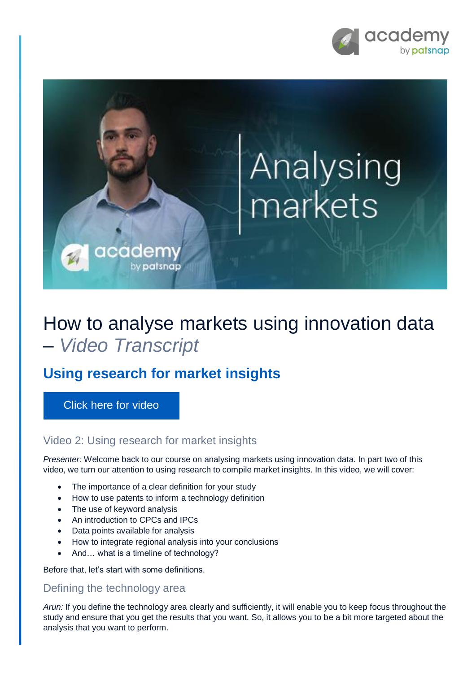

# Analysing markets

## How to analyse markets using innovation data – *Video Transcript*

### **Using research for market insights**

cadem

by patsnap

[Click here for video](https://academy.patsnap.com/courses/5d2c741efd3f8874f6cf0bf9/units/5d2c7446fd3f8874f6cf0bfa#module-1)

#### Video 2: Using research for market insights

*Presenter:* Welcome back to our course on analysing markets using innovation data. In part two of this video, we turn our attention to using research to compile market insights. In this video, we will cover:

- The importance of a clear definition for your study
- How to use patents to inform a technology definition
- The use of keyword analysis
- An introduction to CPCs and IPCs
- Data points available for analysis
- How to integrate regional analysis into your conclusions
- And… what is a timeline of technology?

Before that, let's start with some definitions.

#### Defining the technology area

*Arun:* If you define the technology area clearly and sufficiently, it will enable you to keep focus throughout the study and ensure that you get the results that you want. So, it allows you to be a bit more targeted about the analysis that you want to perform.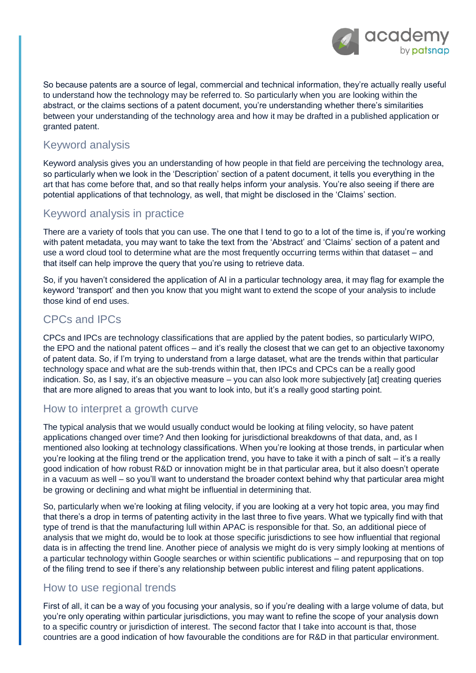

So because patents are a source of legal, commercial and technical information, they're actually really useful to understand how the technology may be referred to. So particularly when you are looking within the abstract, or the claims sections of a patent document, you're understanding whether there's similarities between your understanding of the technology area and how it may be drafted in a published application or granted patent.

#### Keyword analysis

Keyword analysis gives you an understanding of how people in that field are perceiving the technology area, so particularly when we look in the 'Description' section of a patent document, it tells you everything in the art that has come before that, and so that really helps inform your analysis. You're also seeing if there are potential applications of that technology, as well, that might be disclosed in the 'Claims' section.

#### Keyword analysis in practice

There are a variety of tools that you can use. The one that I tend to go to a lot of the time is, if you're working with patent metadata, you may want to take the text from the 'Abstract' and 'Claims' section of a patent and use a word cloud tool to determine what are the most frequently occurring terms within that dataset – and that itself can help improve the query that you're using to retrieve data.

So, if you haven't considered the application of AI in a particular technology area, it may flag for example the keyword 'transport' and then you know that you might want to extend the scope of your analysis to include those kind of end uses.

#### CPCs and IPCs

CPCs and IPCs are technology classifications that are applied by the patent bodies, so particularly WIPO, the EPO and the national patent offices – and it's really the closest that we can get to an objective taxonomy of patent data. So, if I'm trying to understand from a large dataset, what are the trends within that particular technology space and what are the sub-trends within that, then IPCs and CPCs can be a really good indication. So, as I say, it's an objective measure – you can also look more subjectively [at] creating queries that are more aligned to areas that you want to look into, but it's a really good starting point.

#### How to interpret a growth curve

The typical analysis that we would usually conduct would be looking at filing velocity, so have patent applications changed over time? And then looking for jurisdictional breakdowns of that data, and, as I mentioned also looking at technology classifications. When you're looking at those trends, in particular when you're looking at the filing trend or the application trend, you have to take it with a pinch of salt – it's a really good indication of how robust R&D or innovation might be in that particular area, but it also doesn't operate in a vacuum as well – so you'll want to understand the broader context behind why that particular area might be growing or declining and what might be influential in determining that.

So, particularly when we're looking at filing velocity, if you are looking at a very hot topic area, you may find that there's a drop in terms of patenting activity in the last three to five years. What we typically find with that type of trend is that the manufacturing lull within APAC is responsible for that. So, an additional piece of analysis that we might do, would be to look at those specific jurisdictions to see how influential that regional data is in affecting the trend line. Another piece of analysis we might do is very simply looking at mentions of a particular technology within Google searches or within scientific publications – and repurposing that on top of the filing trend to see if there's any relationship between public interest and filing patent applications.

#### How to use regional trends

First of all, it can be a way of you focusing your analysis, so if you're dealing with a large volume of data, but you're only operating within particular jurisdictions, you may want to refine the scope of your analysis down to a specific country or jurisdiction of interest. The second factor that I take into account is that, those countries are a good indication of how favourable the conditions are for R&D in that particular environment.